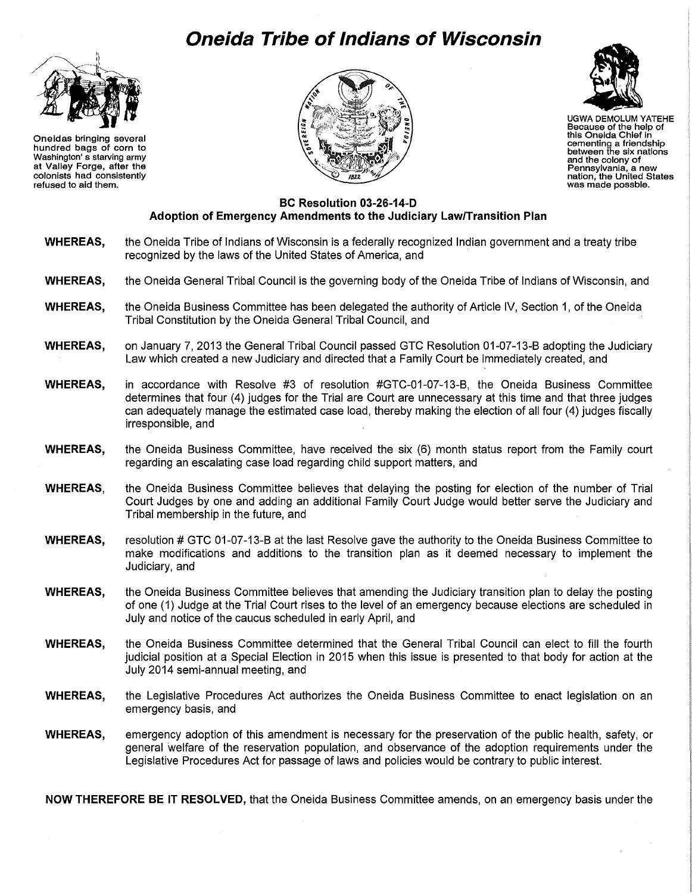## **Oneida Tribe of Indians of Wisconsin**



Oneidas bringing several hundred bags of corn to Washington' s starving army at Valley Forge, after the colonists had consistently refused to aid them.





UGWA DEMOLUM YATEHE Because of the help of this Oneida Chief in cementing a friendship between the six nations and the colony of Pennsylvania, a new nation, the United States was made possble.

## **BC Resolution 03-26-14-D Adoption of Emergency Amendments to the Judiciary Law/Transition Plan**

- **WHEREAS,** the Oneida Tribe of Indians of Wisconsin is a federally recognized Indian government and a treaty tribe recognized by the laws of the United States of America, and
- **WHEREAS,** the Oneida General Tribal Council is the governing body of the Oneida Tribe of Indians of Wisconsin, and
- **WHEREAS,** the Oneida Business Committee has been delegated the authority of Article IV, Section 1, of the Oneida Tribal Constitution by the Oneida General Tribal Council, and
- **WHEREAS,** on January 7, 2013 the General Tribal Council passed GTC Resolution 01-07-13-B adopting the Judiciary Law which created a new Judiciary and directed that a Family Court be immediately created, and
- **WHEREAS,** in accordance with Resolve #3 of resolution #GTC-01-07-13-B, the Oneida Business Committee determines that four (4) judges for the Trial are Court are unnecessary at this time and that three judges can adequately manage the estimated case load, thereby making the election of all four (4) judges fiscally irresponsible, and
- **WHEREAS,** the Oneida Business Committee, have received the six (6) month status report from the Family court regarding an escalating case load regarding child support matters, and
- **WHEREAS,** the Oneida Business Committee believes that delaying the posting for election of the number of Trial Court Judges by one and adding an additional Family Court Judge would better serve the Judiciary and Tribal membership in the future, and
- **WHEREAS,** resolution # GTC 01-07-13-B at the last Resolve gave the authority to the Oneida Business Committee to make modifications and additions to the transition plan as it deemed necessary to implement the Judiciary, and
- **WHEREAS,** the Oneida Business Committee believes that amending the Judiciary transition plan to delay the posting of one (1) Judge at the Trial Court rises to the level of an emergency because elections are scheduled in July and notice of the caucus scheduled in early April, and
- **WHEREAS,** the Oneida Business Committee determined that the General Tribal Council can elect to fill the fourth judicial position at a Special Election in 2015 when this issue is presented to that body for action at the July 2014 semi-annual meeting, and
- **WHEREAS,** the Legislative Procedures Act authorizes the Oneida Business Committee to enact legislation on an emergency basis, and
- **WHEREAS,** emergency adoption of this amendment is necessary for the preservation of the public health, safety, or general welfare of the reservation population, and observance of the adoption requirements under the Legislative Procedures Act for passage of laws and policies would be contrary to public interest.

**NOW THEREFORE BE IT RESOLVED,** that the Oneida Business Committee amends, on an emergency basis under the